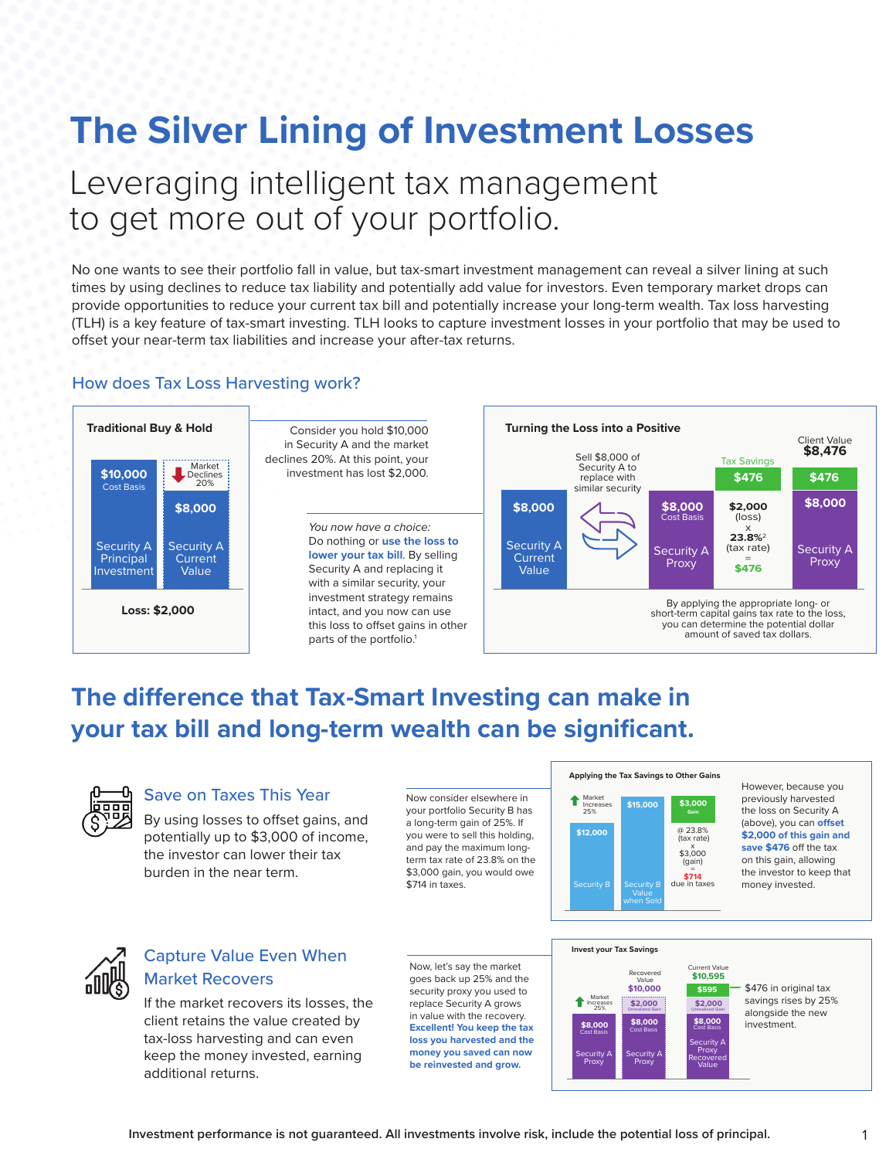# **The Silver Lining of Investment Losses**

## Leveraging intelligent tax management to get more out of your portfolio.

No one wants to see their portfolio fall in value, but tax-smart investment management can reveal a silver lining at such times by using declines to reduce tax liability and potentially add value for investors. Even temporary market drops can provide opportunities to reduce your current tax bill and potentially increase your long-term wealth. Tax loss harvesting (TLH) is a key feature of tax-smart investing. TLH looks to capture investment losses in your portfolio that may be used to offset your near-term tax liabilities and increase your after-tax returns.

### How does Tax Loss Harvesting work?



### **The difference that Tax-Smart Investing can make in your tax bill and long-term wealth can be significant.**



### Save on Taxes This Year

By using losses to offset gains, and potentially up to \$3,000 of income, the investor can lower their tax burden in the near term.

Now consider elsewhere in your portfolio Security B has a long-term gain of 25%. If you were to sell this holding, and pay the maximum longterm tax rate of 23.8% on the \$3,000 gain, you would owe \$714 in taxes.



However, because you previously harvested the loss on Security A (above), you can **offset \$2,000 of this gain and save \$476** off the tax on this gain, allowing the investor to keep that money invested.



### Capture Value Even When Market Recovers

If the market recovers its losses, the client retains the value created by tax-loss harvesting and can even keep the money invested, earning additional returns.

Now, let's say the market goes back up 25% and the security proxy you used to replace Security A grows in value with the recovery. **Excellent! You keep the tax loss you harvested and the money you saved can now be reinvested and grow.**

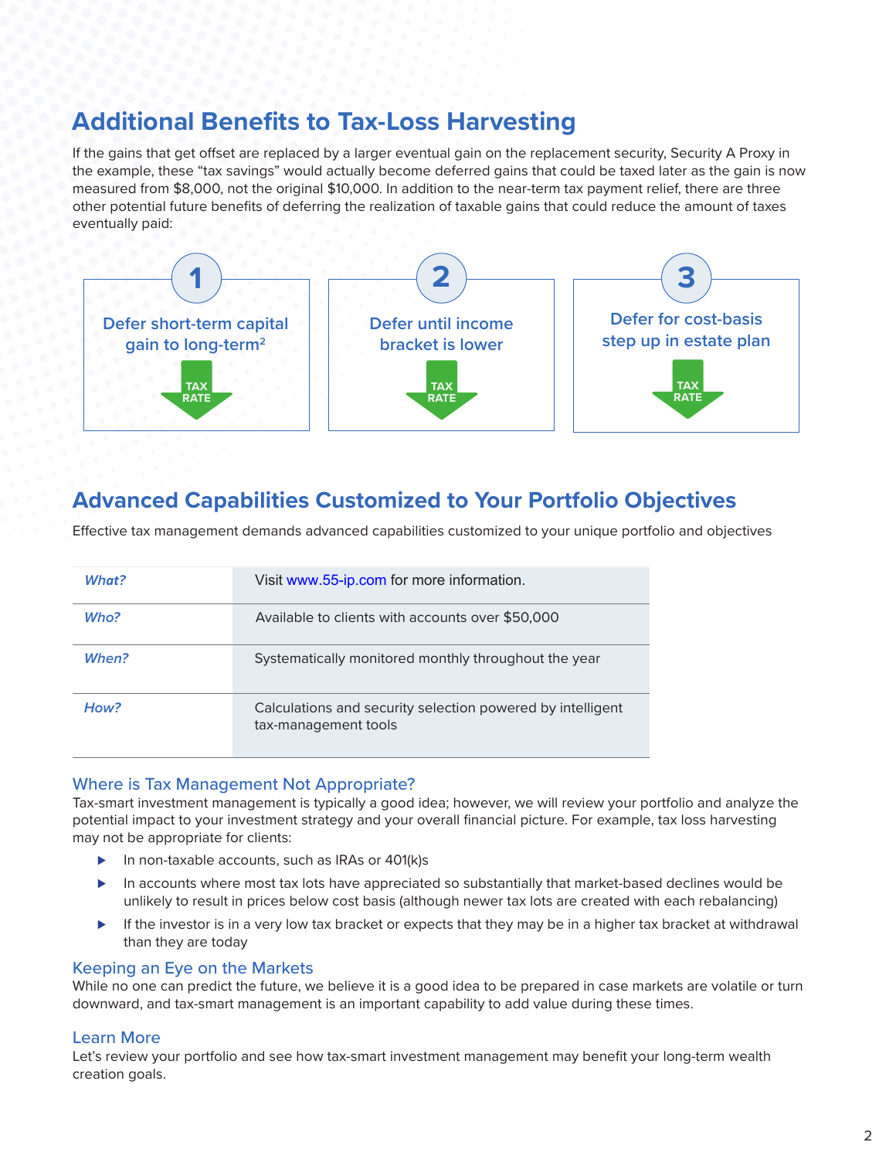### **Additional Benefits to Tax-Loss Harvesting**

If the gains that get offset are replaced by a larger eventual gain on the replacement security, Security A Proxy in the example, these "tax savings" would actually become deferred gains that could be taxed later as the gain is now measured from \$8,000, not the original \$10,000. In addition to the near-term tax payment relief, there are three other potential future benefits of deferring the realization of taxable gains that could reduce the amount of taxes eventually paid:



### **Advanced Capabilities Customized to Your Portfolio Objectives**

Effective tax management demands advanced capabilities customized to your unique portfolio and objectives

| What? | Visit www.55-ip.com for more information.                                          |
|-------|------------------------------------------------------------------------------------|
| Who?  | Available to clients with accounts over \$50,000                                   |
| When? | Systematically monitored monthly throughout the year                               |
| How?  | Calculations and security selection powered by intelligent<br>tax-management tools |

### Where is Tax Management Not Appropriate?

Tax-smart investment management is typically a good idea; however, we will review your portfolio and analyze the potential impact to your investment strategy and your overall financial picture. For example, tax loss harvesting may not be appropriate for clients:

- ► In non-taxable accounts, such as IRAs or 401(k)s
- ► In accounts where most tax lots have appreciated so substantially that market-based declines would be unlikely to result in prices below cost basis (although newer tax lots are created with each rebalancing)
- ► If the investor is in a very low tax bracket or expects that they may be in a higher tax bracket at withdrawal than they are today

#### Keeping an Eye on the Markets

While no one can predict the future, we believe it is a good idea to be prepared in case markets are volatile or turn downward, and tax-smart management is an important capability to add value during these times.

### Learn More

Let's review your portfolio and see how tax-smart investment management may benefit your long-term wealth creation goals.